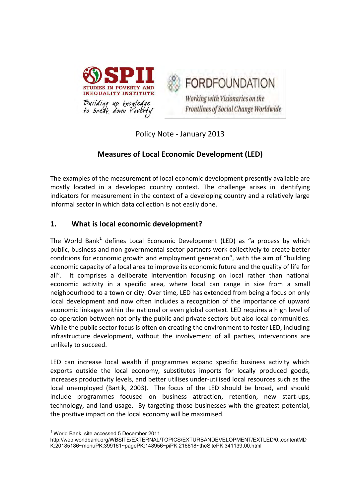



Policy Note - January 2013

# **Measures of Local Economic Development (LED)**

The examples of the measurement of local economic development presently available are mostly located in a developed country context. The challenge arises in identifying indicators for measurement in the context of a developing country and a relatively large informal sector in which data collection is not easily done.

## **1. What is local economic development?**

The World Bank<sup>1</sup> defines Local Economic Development (LED) as "a process by which public, business and non-governmental sector partners work collectively to create better conditions for economic growth and employment generation", with the aim of "building economic capacity of a local area to improve its economic future and the quality of life for all". It comprises a deliberate intervention focusing on local rather than national economic activity in a specific area, where local can range in size from a small neighbourhood to a town or city. Over time, LED has extended from being a focus on only local development and now often includes a recognition of the importance of upward economic linkages within the national or even global context. LED requires a high level of co-operation between not only the public and private sectors but also local communities. While the public sector focus is often on creating the environment to foster LED, including infrastructure development, without the involvement of all parties, interventions are unlikely to succeed.

LED can increase local wealth if programmes expand specific business activity which exports outside the local economy, substitutes imports for locally produced goods, increases productivity levels, and better utilises under-utilised local resources such as the local unemployed (Bartik, 2003). The focus of the LED should be broad, and should include programmes focused on business attraction, retention, new start-ups, technology, and land usage. By targeting those businesses with the greatest potential, the positive impact on the local economy will be maximised.

**.** 

<sup>1</sup> World Bank, site accessed 5 December 2011

[http://web.worldbank.org/WBSITE/EXTERNAL/TOPICS/EXTURBANDEVELOPMENT/EXTLED/0,,contentMD](http://web.worldbank.org/WBSITE/EXTERNAL/TOPICS/EXTURBANDEVELOPMENT/EXTLED/0,,contentMDK:20185186~menuPK:399161~pagePK:148956~piPK:216618~theSitePK:341139,00.html) [K:20185186~menuPK:399161~pagePK:148956~piPK:216618~theSitePK:341139,00.html](http://web.worldbank.org/WBSITE/EXTERNAL/TOPICS/EXTURBANDEVELOPMENT/EXTLED/0,,contentMDK:20185186~menuPK:399161~pagePK:148956~piPK:216618~theSitePK:341139,00.html)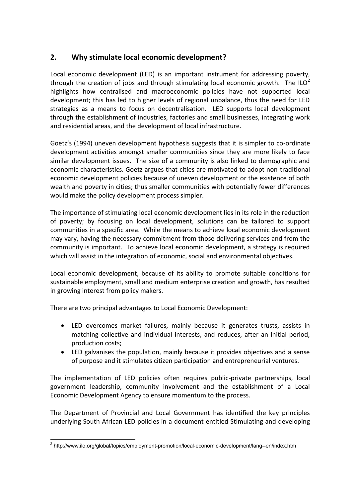# **2. Why stimulate local economic development?**

Local economic development (LED) is an important instrument for addressing poverty, through the creation of jobs and through stimulating local economic growth. The ILO<sup>2</sup> highlights how centralised and macroeconomic policies have not supported local development; this has led to higher levels of regional unbalance, thus the need for LED strategies as a means to focus on decentralisation. LED supports local development through the establishment of industries, factories and small businesses, integrating work and residential areas, and the development of local infrastructure.

Goetz's (1994) uneven development hypothesis suggests that it is simpler to co-ordinate development activities amongst smaller communities since they are more likely to face similar development issues. The size of a community is also linked to demographic and economic characteristics. Goetz argues that cities are motivated to adopt non-traditional economic development policies because of uneven development or the existence of both wealth and poverty in cities; thus smaller communities with potentially fewer differences would make the policy development process simpler.

The importance of stimulating local economic development lies in its role in the reduction of poverty; by focusing on local development, solutions can be tailored to support communities in a specific area. While the means to achieve local economic development may vary, having the necessary commitment from those delivering services and from the community is important. To achieve local economic development, a strategy is required which will assist in the integration of economic, social and environmental objectives.

Local economic development, because of its ability to promote suitable conditions for sustainable employment, small and medium enterprise creation and growth, has resulted in growing interest from policy makers.

There are two principal advantages to Local Economic Development:

- LED overcomes market failures, mainly because it generates trusts, assists in matching collective and individual interests, and reduces, after an initial period, production costs;
- LED galvanises the population, mainly because it provides objectives and a sense of purpose and it stimulates citizen participation and entrepreneurial ventures.

The implementation of LED policies often requires public-private partnerships, local government leadership, community involvement and the establishment of a Local Economic Development Agency to ensure momentum to the process.

The Department of Provincial and Local Government has identified the key principles underlying South African LED policies in a document entitled Stimulating and developing

 $\overline{\phantom{a}}$ <sup>2</sup> <http://www.ilo.org/global/topics/employment-promotion/local-economic-development/lang--en/index.htm>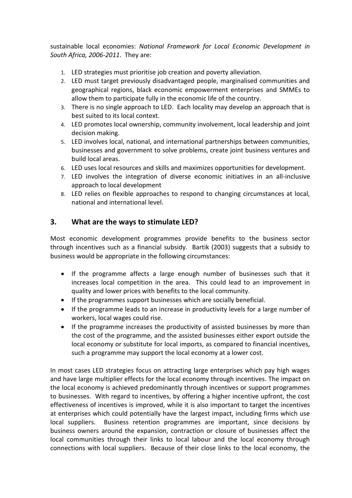sustainable local economies: *National Framework for Local Economic Development in South Africa, 2006-2011*. They are:

- 1. LED strategies must prioritise job creation and poverty alleviation.
- 2. LED must target previously disadvantaged people, marginalised communities and geographical regions, black economic empowerment enterprises and SMMEs to allow them to participate fully in the economic life of the country.
- 3. There is no single approach to LED. Each locality may develop an approach that is best suited to its local context.
- 4. LED promotes local ownership, community involvement, local leadership and joint decision making.
- 5. LED involves local, national, and international partnerships between communities, businesses and government to solve problems, create joint business ventures and build local areas.
- 6. LED uses local resources and skills and maximizes opportunities for development.
- 7. LED involves the integration of diverse economic initiatives in an all-inclusive approach to local development
- 8. LED relies on flexible approaches to respond to changing circumstances at local, national and international level.

### **3. What are the ways to stimulate LED?**

Most economic development programmes provide benefits to the business sector through incentives such as a financial subsidy. Bartik (2003) suggests that a subsidy to business would be appropriate in the following circumstances:

- If the programme affects a large enough number of businesses such that it increases local competition in the area. This could lead to an improvement in quality and lower prices with benefits to the local community.
- If the programmes support businesses which are socially beneficial.
- If the programme leads to an increase in productivity levels for a large number of workers, local wages could rise.
- If the programme increases the productivity of assisted businesses by more than the cost of the programme, and the assisted businesses either export outside the local economy or substitute for local imports, as compared to financial incentives, such a programme may support the local economy at a lower cost.

In most cases LED strategies focus on attracting large enterprises which pay high wages and have large multiplier effects for the local economy through incentives. The impact on the local economy is achieved predominantly through incentives or support programmes to businesses. With regard to incentives, by offering a higher incentive upfront, the cost effectiveness of incentives is improved, while it is also important to target the incentives at enterprises which could potentially have the largest impact, including firms which use local suppliers. Business retention programmes are important, since decisions by business owners around the expansion, contraction or closure of businesses affect the local communities through their links to local labour and the local economy through connections with local suppliers. Because of their close links to the local economy, the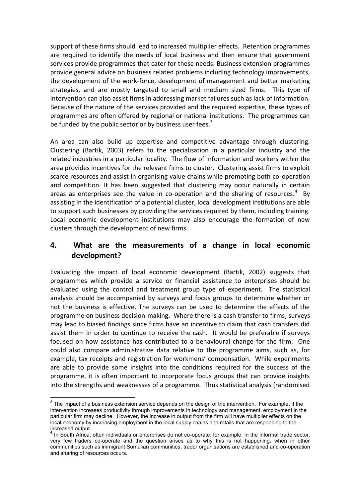support of these firms should lead to increased multiplier effects. Retention programmes are required to identify the needs of local business and then ensure that government services provide programmes that cater for these needs. Business extension programmes provide general advice on business related problems including technology improvements, the development of the work-force, development of management and better marketing strategies, and are mostly targeted to small and medium sized firms. This type of intervention can also assist firms in addressing market failures such as lack of information. Because of the nature of the services provided and the required expertise, these types of programmes are often offered by regional or national institutions. The programmes can be funded by the public sector or by business user fees. $3$ 

An area can also build up expertise and competitive advantage through clustering. Clustering (Bartik, 2003) refers to the specialisation in a particular industry and the related industries in a particular locality. The flow of information and workers within the area provides incentives for the relevant firms to cluster. Clustering assist firms to exploit scarce resources and assist in organising value chains while promoting both co-operation and competition. It has been suggested that clustering may occur naturally in certain areas as enterprises see the value in co-operation and the sharing of resources.<sup>4</sup> By assisting in the identification of a potential cluster, local development institutions are able to support such businesses by providing the services required by them, including training. Local economic development institutions may also encourage the formation of new clusters through the development of new firms.

## **4. What are the measurements of a change in local economic development?**

Evaluating the impact of local economic development (Bartik, 2002) suggests that programmes which provide a service or financial assistance to enterprises should be evaluated using the control and treatment group type of experiment. The statistical analysis should be accompanied by surveys and focus groups to determine whether or not the business is effective. The surveys can be used to determine the effects of the programme on business decision-making. Where there is a cash transfer to firms, surveys may lead to biased findings since firms have an incentive to claim that cash transfers did assist them in order to continue to receive the cash. It would be preferable if surveys focused on how assistance has contributed to a behavioural change for the firm. One could also compare administrative data relative to the programme aims, such as, for example, tax receipts and registration for workmens' compensation. While experiments are able to provide some insights into the conditions required for the success of the programme, it is often important to incorporate focus groups that can provide insights into the strengths and weaknesses of a programme. Thus statistical analysis (randomised

 3 The impact of a business extension service depends on the design of the intervention. For example, if the intervention increases productivity through improvements in technology and management, employment in the particular firm may decline. However, the increase in output from the firm will have multiplier effects on the local economy by increasing employment in the local supply chains and retails that are responding to the increased output.<br><sup>4</sup> In South Africa

In South Africa, often individuals or enterprises do not co-operate; for example, in the informal trade sector, very few traders co-operate and the question arises as to why this is not happening, when in other communities such as immigrant Somalian communities, trader organisations are established and co-operation and sharing of resources occurs.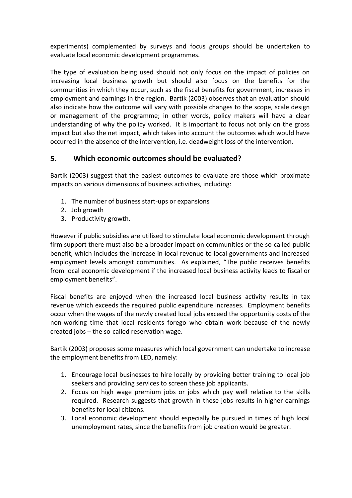experiments) complemented by surveys and focus groups should be undertaken to evaluate local economic development programmes.

The type of evaluation being used should not only focus on the impact of policies on increasing local business growth but should also focus on the benefits for the communities in which they occur, such as the fiscal benefits for government, increases in employment and earnings in the region. Bartik (2003) observes that an evaluation should also indicate how the outcome will vary with possible changes to the scope, scale design or management of the programme; in other words, policy makers will have a clear understanding of why the policy worked. It is important to focus not only on the gross impact but also the net impact, which takes into account the outcomes which would have occurred in the absence of the intervention, i.e. deadweight loss of the intervention.

## **5. Which economic outcomes should be evaluated?**

Bartik (2003) suggest that the easiest outcomes to evaluate are those which proximate impacts on various dimensions of business activities, including:

- 1. The number of business start-ups or expansions
- 2. Job growth
- 3. Productivity growth.

However if public subsidies are utilised to stimulate local economic development through firm support there must also be a broader impact on communities or the so-called public benefit, which includes the increase in local revenue to local governments and increased employment levels amongst communities. As explained, "The public receives benefits from local economic development if the increased local business activity leads to fiscal or employment benefits".

Fiscal benefits are enjoyed when the increased local business activity results in tax revenue which exceeds the required public expenditure increases. Employment benefits occur when the wages of the newly created local jobs exceed the opportunity costs of the non-working time that local residents forego who obtain work because of the newly created jobs ─ the so-called reservation wage.

Bartik (2003) proposes some measures which local government can undertake to increase the employment benefits from LED, namely:

- 1. Encourage local businesses to hire locally by providing better training to local job seekers and providing services to screen these job applicants.
- 2. Focus on high wage premium jobs or jobs which pay well relative to the skills required. Research suggests that growth in these jobs results in higher earnings benefits for local citizens.
- 3. Local economic development should especially be pursued in times of high local unemployment rates, since the benefits from job creation would be greater.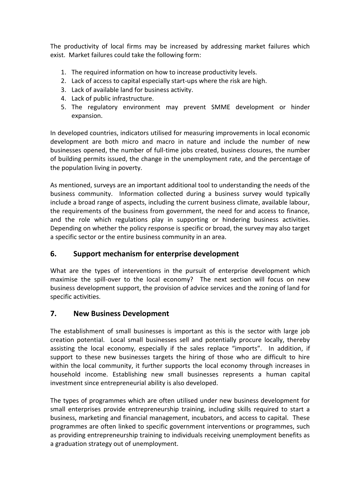The productivity of local firms may be increased by addressing market failures which exist. Market failures could take the following form:

- 1. The required information on how to increase productivity levels.
- 2. Lack of access to capital especially start-ups where the risk are high.
- 3. Lack of available land for business activity.
- 4. Lack of public infrastructure.
- 5. The regulatory environment may prevent SMME development or hinder expansion.

In developed countries, indicators utilised for measuring improvements in local economic development are both micro and macro in nature and include the number of new businesses opened, the number of full-time jobs created, business closures, the number of building permits issued, the change in the unemployment rate, and the percentage of the population living in poverty.

As mentioned, surveys are an important additional tool to understanding the needs of the business community. Information collected during a business survey would typically include a broad range of aspects, including the current business climate, available labour, the requirements of the business from government, the need for and access to finance, and the role which regulations play in supporting or hindering business activities. Depending on whether the policy response is specific or broad, the survey may also target a specific sector or the entire business community in an area.

## **6. Support mechanism for enterprise development**

What are the types of interventions in the pursuit of enterprise development which maximise the spill-over to the local economy? The next section will focus on new business development support, the provision of advice services and the zoning of land for specific activities.

### **7. New Business Development**

The establishment of small businesses is important as this is the sector with large job creation potential. Local small businesses sell and potentially procure locally, thereby assisting the local economy, especially if the sales replace "imports". In addition, if support to these new businesses targets the hiring of those who are difficult to hire within the local community, it further supports the local economy through increases in household income. Establishing new small businesses represents a human capital investment since entrepreneurial ability is also developed.

The types of programmes which are often utilised under new business development for small enterprises provide entrepreneurship training, including skills required to start a business, marketing and financial management, incubators, and access to capital. These programmes are often linked to specific government interventions or programmes, such as providing entrepreneurship training to individuals receiving unemployment benefits as a graduation strategy out of unemployment.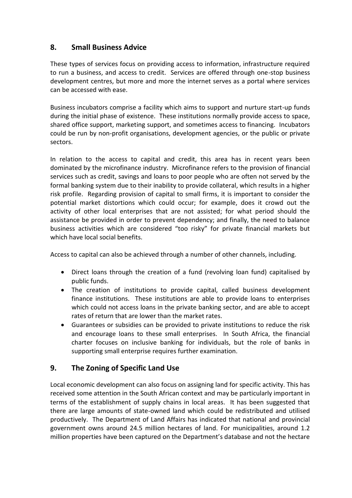## **8. Small Business Advice**

These types of services focus on providing access to information, infrastructure required to run a business, and access to credit. Services are offered through one-stop business development centres, but more and more the internet serves as a portal where services can be accessed with ease.

Business incubators comprise a facility which aims to support and nurture start-up funds during the initial phase of existence. These institutions normally provide access to space, shared office support, marketing support, and sometimes access to financing. Incubators could be run by non-profit organisations, development agencies, or the public or private sectors.

In relation to the access to capital and credit, this area has in recent years been dominated by the microfinance industry. Microfinance refers to the provision of financial services such as credit, savings and loans to poor people who are often not served by the formal banking system due to their inability to provide collateral, which results in a higher risk profile. Regarding provision of capital to small firms, it is important to consider the potential market distortions which could occur; for example, does it crowd out the activity of other local enterprises that are not assisted; for what period should the assistance be provided in order to prevent dependency; and finally, the need to balance business activities which are considered "too risky" for private financial markets but which have local social benefits.

Access to capital can also be achieved through a number of other channels, including.

- Direct loans through the creation of a fund (revolving loan fund) capitalised by public funds.
- The creation of institutions to provide capital, called business development finance institutions. These institutions are able to provide loans to enterprises which could not access loans in the private banking sector, and are able to accept rates of return that are lower than the market rates.
- Guarantees or subsidies can be provided to private institutions to reduce the risk and encourage loans to these small enterprises. In South Africa, the financial charter focuses on inclusive banking for individuals, but the role of banks in supporting small enterprise requires further examination.

# **9. The Zoning of Specific Land Use**

Local economic development can also focus on assigning land for specific activity. This has received some attention in the South African context and may be particularly important in terms of the establishment of supply chains in local areas. It has been suggested that there are large amounts of state-owned land which could be redistributed and utilised productively. The Department of Land Affairs has indicated that national and provincial government owns around 24.5 million hectares of land. For municipalities, around 1.2 million properties have been captured on the Department's database and not the hectare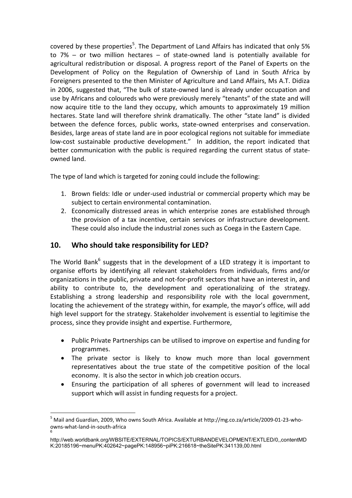covered by these properties<sup>5</sup>. The Department of Land Affairs has indicated that only 5% to  $7%$  – or two million hectares – of state-owned land is potentially available for agricultural redistribution or disposal. A progress report of the Panel of Experts on the Development of Policy on the Regulation of Ownership of Land in South Africa by Foreigners presented to the then Minister of Agriculture and Land Affairs, Ms A.T. Didiza in 2006, suggested that, "The bulk of state-owned land is already under occupation and use by Africans and coloureds who were previously merely "tenants" of the state and will now acquire title to the land they occupy, which amounts to approximately 19 million hectares. State land will therefore shrink dramatically. The other "state land" is divided between the defence forces, public works, state-owned enterprises and conservation. Besides, large areas of state land are in poor ecological regions not suitable for immediate low-cost sustainable productive development." In addition, the report indicated that better communication with the public is required regarding the current status of stateowned land.

The type of land which is targeted for zoning could include the following:

- 1. Brown fields: Idle or under-used industrial or commercial property which may be subject to certain environmental contamination.
- 2. Economically distressed areas in which enterprise zones are established through the provision of a tax incentive, certain services or infrastructure development. These could also include the industrial zones such as Coega in the Eastern Cape.

# **10. Who should take responsibility for LED?**

The World Bank<sup>6</sup> suggests that in the development of a LED strategy it is important to organise efforts by identifying all relevant stakeholders from individuals, firms and/or organizations in the public, private and not-for-profit sectors that have an interest in, and ability to contribute to, the development and operationalizing of the strategy. Establishing a strong leadership and responsibility role with the local government, locating the achievement of the strategy within, for example, the mayor's office, will add high level support for the strategy. Stakeholder involvement is essential to legitimise the process, since they provide insight and expertise. Furthermore,

- Public Private Partnerships can be utilised to improve on expertise and funding for programmes.
- The private sector is likely to know much more than local government representatives about the true state of the competitive position of the local economy. It is also the sector in which job creation occurs.
- Ensuring the participation of all spheres of government will lead to increased support which will assist in funding requests for a project.

<sup>1</sup> <sup>5</sup> Mail and Guardian, 2009, Who owns South Africa. Available at http://mg.co.za/article/2009-01-23-whoowns-what-land-in-south-africa 6

[http://web.worldbank.org/WBSITE/EXTERNAL/TOPICS/EXTURBANDEVELOPMENT/EXTLED/0,,contentMD](http://web.worldbank.org/WBSITE/EXTERNAL/TOPICS/EXTURBANDEVELOPMENT/EXTLED/0,,contentMDK:20185196~menuPK:402642~pagePK:148956~piPK:216618~theSitePK:341139,00.html) [K:20185196~menuPK:402642~pagePK:148956~piPK:216618~theSitePK:341139,00.html](http://web.worldbank.org/WBSITE/EXTERNAL/TOPICS/EXTURBANDEVELOPMENT/EXTLED/0,,contentMDK:20185196~menuPK:402642~pagePK:148956~piPK:216618~theSitePK:341139,00.html)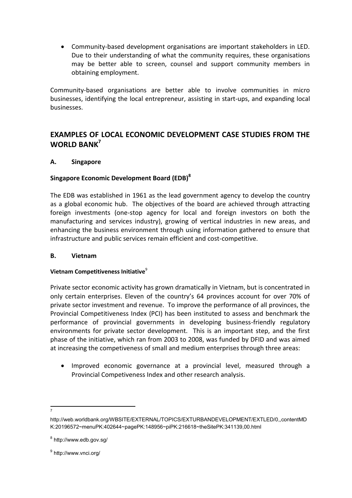Community-based development organisations are important stakeholders in LED. Due to their understanding of what the community requires, these organisations may be better able to screen, counsel and support community members in obtaining employment.

Community-based organisations are better able to involve communities in micro businesses, identifying the local entrepreneur, assisting in start-ups, and expanding local businesses.

## **EXAMPLES OF LOCAL ECONOMIC DEVELOPMENT CASE STUDIES FROM THE WORLD BANK<sup>7</sup>**

#### **A. Singapore**

#### **Singapore Economic Development Board (EDB)<sup>8</sup>**

The EDB was established in 1961 as the lead government agency to develop the country as a global economic hub. The objectives of the board are achieved through attracting foreign investments (one-stop agency for local and foreign investors on both the manufacturing and services industry), growing of vertical industries in new areas, and enhancing the business environment through using information gathered to ensure that infrastructure and public services remain efficient and cost-competitive.

#### **B. Vietnam**

#### **Vietnam Competitiveness Initiative**<sup>9</sup>

Private sector economic activity has grown dramatically in Vietnam, but is concentrated in only certain enterprises. Eleven of the country's 64 provinces account for over 70% of private sector investment and revenue. To improve the performance of all provinces, the Provincial Competitiveness Index (PCI) has been instituted to assess and benchmark the performance of provincial governments in developing business-friendly regulatory environments for private sector development. This is an important step, and the first phase of the initiative, which ran from 2003 to 2008, was funded by DFID and was aimed at increasing the competiveness of small and medium enterprises through three areas:

- Improved economic governance at a provincial level, measured through a Provincial Competiveness Index and other research analysis.
- **.** 7

[http://web.worldbank.org/WBSITE/EXTERNAL/TOPICS/EXTURBANDEVELOPMENT/EXTLED/0,,contentMD](http://web.worldbank.org/WBSITE/EXTERNAL/TOPICS/EXTURBANDEVELOPMENT/EXTLED/0,,contentMDK:20196572~menuPK:402644~pagePK:148956~piPK:216618~theSitePK:341139,00.html) [K:20196572~menuPK:402644~pagePK:148956~piPK:216618~theSitePK:341139,00.html](http://web.worldbank.org/WBSITE/EXTERNAL/TOPICS/EXTURBANDEVELOPMENT/EXTLED/0,,contentMDK:20196572~menuPK:402644~pagePK:148956~piPK:216618~theSitePK:341139,00.html)

<sup>&</sup>lt;sup>8</sup> <http://www.edb.gov.sg/>

<sup>&</sup>lt;sup>9</sup> http://www.vnci.org/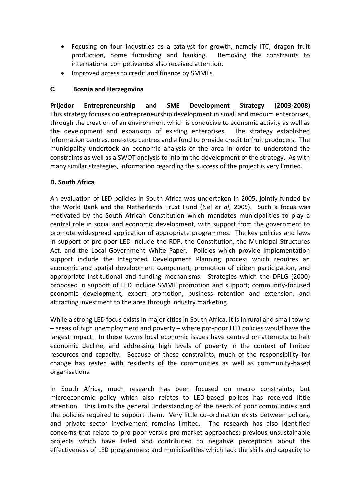- Focusing on four industries as a catalyst for growth, namely ITC, dragon fruit production, home furnishing and banking. Removing the constraints to international competiveness also received attention.
- Improved access to credit and finance by SMMEs.

#### **C. Bosnia and Herzegovina**

**[Prijedor Entrepreneurship and SME Development Strategy](http://siteresources.worldbank.org/EXTLED/Resources/prijedor-sme-strategy.pdf) (2003-2008)**  This strategy focuses on entrepreneurship development in small and medium enterprises, through the creation of an environment which is conducive to economic activity as well as the development and expansion of existing enterprises. The strategy established information centres, one-stop centres and a fund to provide credit to fruit producers. The municipality undertook an economic analysis of the area in order to understand the constraints as well as a SWOT analysis to inform the development of the strategy. As with many similar strategies, information regarding the success of the project is very limited.

### **D. South Africa**

An evaluation of LED policies in South Africa was undertaken in 2005, jointly funded by the World Bank and the Netherlands Trust Fund (Nel *et al*, 2005). Such a focus was motivated by the South African Constitution which mandates municipalities to play a central role in social and economic development, with support from the government to promote widespread application of appropriate programmes. The key policies and laws in support of pro-poor LED include the RDP, the Constitution, the Municipal Structures Act, and the Local Government White Paper. Policies which provide implementation support include the Integrated Development Planning process which requires an economic and spatial development component, promotion of citizen participation, and appropriate institutional and funding mechanisms. Strategies which the DPLG (2000) proposed in support of LED include SMME promotion and support; community-focused economic development, export promotion, business retention and extension, and attracting investment to the area through industry marketing.

While a strong LED focus exists in major cities in South Africa, it is in rural and small towns ─ areas of high unemployment and poverty ─ where pro-poor LED policies would have the largest impact. In these towns local economic issues have centred on attempts to halt economic decline, and addressing high levels of poverty in the context of limited resources and capacity. Because of these constraints, much of the responsibility for change has rested with residents of the communities as well as community-based organisations.

In South Africa, much research has been focused on macro constraints, but microeconomic policy which also relates to LED-based polices has received little attention. This limits the general understanding of the needs of poor communities and the policies required to support them. Very little co-ordination exists between polices, and private sector involvement remains limited. The research has also identified concerns that relate to pro-poor versus pro-market approaches; previous unsustainable projects which have failed and contributed to negative perceptions about the effectiveness of LED programmes; and municipalities which lack the skills and capacity to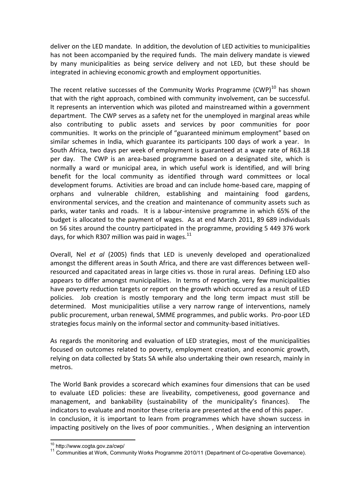deliver on the LED mandate. In addition, the devolution of LED activities to municipalities has not been accompanied by the required funds. The main delivery mandate is viewed by many municipalities as being service delivery and not LED, but these should be integrated in achieving economic growth and employment opportunities.

The recent relative successes of the Community Works Programme  $(CWP)^{10}$  has shown that with the right approach, combined with community involvement, can be successful. It represents an intervention which was piloted and mainstreamed within a government department. The CWP serves as a safety net for the unemployed in marginal areas while also contributing to public assets and services by poor communities for poor communities. It works on the principle of "guaranteed minimum employment" based on similar schemes in India, which guarantee its participants 100 days of work a year. In South Africa, two days per week of employment is guaranteed at a wage rate of R63.18 per day. The CWP is an area-based programme based on a designated site, which is normally a ward or municipal area, in which useful work is identified, and will bring benefit for the local community as identified through ward committees or local development forums. Activities are broad and can include home-based care, mapping of orphans and vulnerable children, establishing and maintaining food gardens, environmental services, and the creation and maintenance of community assets such as parks, water tanks and roads. It is a labour-intensive programme in which 65% of the budget is allocated to the payment of wages. As at end March 2011, 89 689 individuals on 56 sites around the country participated in the programme, providing 5 449 376 work days, for which R307 million was paid in wages. $^{11}$ 

Overall, Nel *et al* (2005) finds that LED is unevenly developed and operationalized amongst the different areas in South Africa, and there are vast differences between wellresourced and capacitated areas in large cities vs. those in rural areas. Defining LED also appears to differ amongst municipalities. In terms of reporting, very few municipalities have poverty reduction targets or report on the growth which occurred as a result of LED policies. Job creation is mostly temporary and the long term impact must still be determined. Most municipalities utilise a very narrow range of interventions, namely public procurement, urban renewal, SMME programmes, and public works. Pro-poor LED strategies focus mainly on the informal sector and community-based initiatives.

As regards the monitoring and evaluation of LED strategies, most of the municipalities focused on outcomes related to poverty, employment creation, and economic growth, relying on data collected by Stats SA while also undertaking their own research, mainly in metros.

The World Bank provides a scorecard which examines four dimensions that can be used to evaluate LED policies: these are liveability, competiveness, good governance and management, and bankability (sustainability of the municipality's finances). The indicators to evaluate and monitor these criteria are presented at the end of this paper. In conclusion, it is important to learn from programmes which have shown success in impacting positively on the lives of poor communities. , When designing an intervention

 $\overline{a}$ <sup>10</sup> http://www.cogta.gov.za/cwp/

<sup>&</sup>lt;sup>11</sup> Communities at Work, Community Works Programme 2010/11 (Department of Co-operative Governance).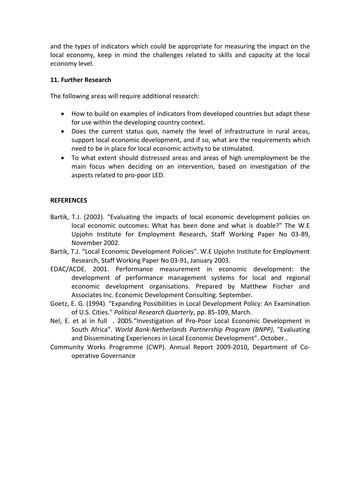and the types of indicators which could be appropriate for measuring the impact on the local economy, keep in mind the challenges related to skills and capacity at the local economy level.

#### **11. Further Research**

The following areas will require additional research:

- How to build on examples of indicators from developed countries but adapt these for use within the developing country context.
- Does the current status quo, namely the level of infrastructure in rural areas, support local economic development, and if so, what are the requirements which need to be in place for local economic activity to be stimulated.
- To what extent should distressed areas and areas of high unemployment be the main focus when deciding on an intervention, based on investigation of the aspects related to pro-poor LED.

#### **REFERENCES**

- Bartik, T.J. (2002). "Evaluating the impacts of local economic development policies on local economic outcomes: What has been done and what is doable?" The W.E Upjohn Institute for Employment Research, Staff Working Paper No 03-89, November 2002.
- Bartik, T.J. "Local Economic Development Policies". W.E Upjohn Institute for Employment Research, Staff Working Paper No 03-91, January 2003.
- EDAC/ACDE. 2001. Performance measurement in economic development: the development of performance management systems for local and regional economic development organisations. Prepared by Matthew Fischer and Associates Inc. Economic Development Consulting. September.
- Goetz, E. G. (1994). "Expanding Possibilities in Local Development Policy: An Examination of U.S. Cities." *Political Research Quarterly*, pp. 85-109, March.
- Nel, E. et al in full . 2005."Investigation of Pro-Poor Local Economic Development in South Africa". *World Bank-Netherlands Partnership Program (BNPP)*, "Evaluating and Disseminating Experiences in Local Economic Development". October..
- Community Works Programme (CWP). Annual Report 2009-2010, Department of Cooperative Governance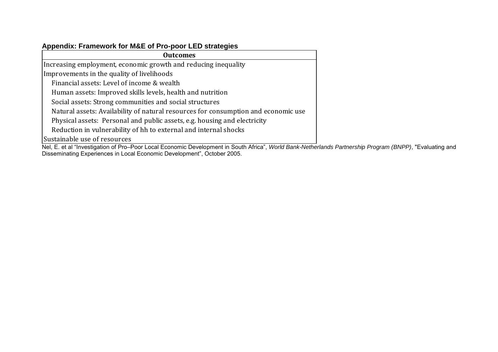# **Appendix: Framework for M&E of Pro-poor LED strategies**

| <b>Outcomes</b>                                                                    |  |
|------------------------------------------------------------------------------------|--|
| Increasing employment, economic growth and reducing inequality                     |  |
| Improvements in the quality of livelihoods                                         |  |
| Financial assets: Level of income & wealth                                         |  |
| Human assets: Improved skills levels, health and nutrition                         |  |
| Social assets: Strong communities and social structures                            |  |
| Natural assets: Availability of natural resources for consumption and economic use |  |
| Physical assets: Personal and public assets, e.g. housing and electricity          |  |
| Reduction in vulnerability of hh to external and internal shocks                   |  |
| Sustainable use of resources                                                       |  |

Nel, E. et al "Investigation of Pro–Poor Local Economic Development in South Africa", *World Bank-Netherlands Partnership Program (BNPP)*, "Evaluating and Disseminating Experiences in Local Economic Development", October 2005.